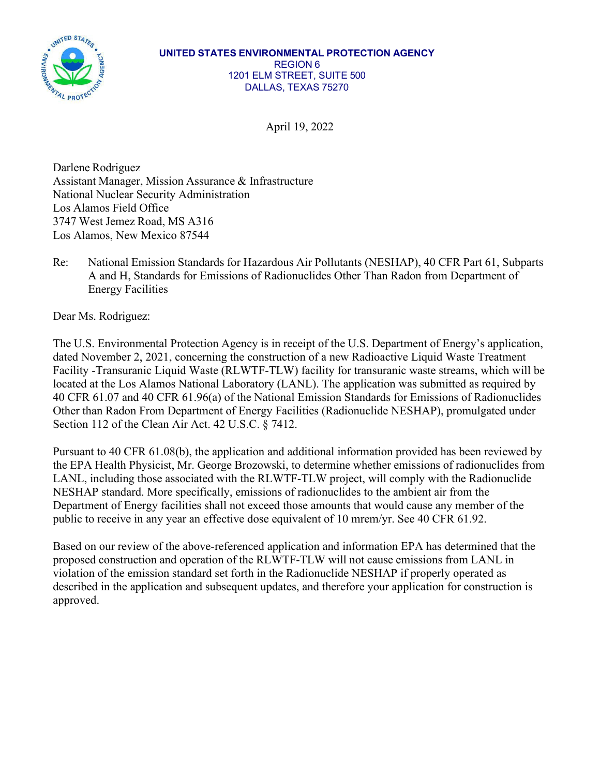

## **UNITED STATES ENVIRONMENTAL PROTECTION AGENCY** REGION 6 1201 ELM STREET, SUITE 500 DALLAS, TEXAS 75270

April 19, 2022

Darlene Rodriguez Assistant Manager, Mission Assurance & Infrastructure National Nuclear Security Administration Los Alamos Field Office 3747 West Jemez Road, MS A316 Los Alamos, New Mexico 87544

Re: National Emission Standards for Hazardous Air Pollutants (NESHAP), 40 CFR Part 61, Subparts A and H, Standards for Emissions of Radionuclides Other Than Radon from Department of Energy Facilities

Dear Ms. Rodriguez:

The U.S. Environmental Protection Agency is in receipt of the U.S. Department of Energy's application, dated November 2, 2021, concerning the construction of a new Radioactive Liquid Waste Treatment Facility -Transuranic Liquid Waste (RLWTF-TLW) facility for transuranic waste streams, which will be located at the Los Alamos National Laboratory (LANL). The application was submitted as required by 40 CFR 61.07 and 40 CFR 61.96(a) of the National Emission Standards for Emissions of Radionuclides Other than Radon From Department of Energy Facilities (Radionuclide NESHAP), promulgated under Section 112 of the Clean Air Act. 42 U.S.C. § 7412.

Pursuant to 40 CFR 61.08(b), the application and additional information provided has been reviewed by the EPA Health Physicist, Mr. George Brozowski, to determine whether emissions of radionuclides from LANL, including those associated with the RLWTF-TLW project, will comply with the Radionuclide NESHAP standard. More specifically, emissions of radionuclides to the ambient air from the Department of Energy facilities shall not exceed those amounts that would cause any member of the public to receive in any year an effective dose equivalent of 10 mrem/yr. See 40 CFR 61.92.

Based on our review of the above-referenced application and information EPA has determined that the proposed construction and operation of the RLWTF-TLW will not cause emissions from LANL in violation of the emission standard set forth in the Radionuclide NESHAP if properly operated as described in the application and subsequent updates, and therefore your application for construction is approved.